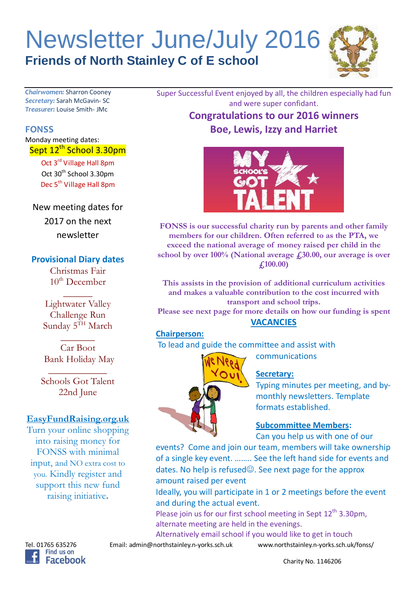# Newsletter June/July 2016 **Friends of North Stainley C of E school**



*Chairwomen:* Sharron Cooney *Secretary:* Sarah McGavin- SC *Treasurer:* Louise Smith- JMc

#### **FONSS**

Monday meeting dates: Sept 12<sup>th</sup> School 3.30pm

> Oct 3rd Village Hall 8pm Oct 30<sup>th</sup> School 3.30pm Dec 5<sup>th</sup> Village Hall 8pm

New meeting dates for

2017 on the next newsletter

# **Provisional Diary dates**

Christmas Fair  $10<sup>th</sup>$  December

 $\overline{\phantom{a}}$ 

Lightwater Valley Challenge Run Sunday 5TH March

 $\overline{\phantom{a}}$ Car Boot Bank Holiday May

\_\_\_\_\_\_\_\_\_\_\_\_ Schools Got Talent 22nd June

# **EasyFundRaising.org.uk**

Turn your online shopping into raising money for FONSS with minimal input, and NO extra cost to you. Kindly register and support this new fund raising initiative**.**

Super Successful Event enjoyed by all, the children especially had fun and were super confidant. **Congratulations to our 2016 winners**

**Boe, Lewis, Izzy and Harriet**



**FONSS is our successful charity run by parents and other family members for our children. Often referred to as the PTA, we exceed the national average of money raised per child in the school by over 100% (National average £30.00, our average is over £100.00)**

**This assists in the provision of additional curriculum activities and makes a valuable contribution to the cost incurred with transport and school trips.**

**Please see next page for more details on how our funding is spent VACANCIES**

## **Chairperson:**

To lead and guide the committee and assist with

communications

# **Secretary:**

Typing minutes per meeting, and bymonthly newsletters. Template formats established.

#### **Subcommittee Members:**

Can you help us with one of our

events? Come and join our team, members will take ownership of a single key event. …….. See the left hand side for events and dates. No help is refused $\odot$ . See next page for the approx amount raised per event

Ideally, you will participate in 1 or 2 meetings before the event and during the actual event.

Please join us for our first school meeting in Sept  $12<sup>th</sup> 3.30<sub>pm</sub>$ , alternate meeting are held in the evenings.

Alternatively email school if you would like to get in touch

Tel. 01765 635276 Email: admin@northstainley.n-yorks.sch.uk www.northstainley.n-yorks.sch.uk/fonss/